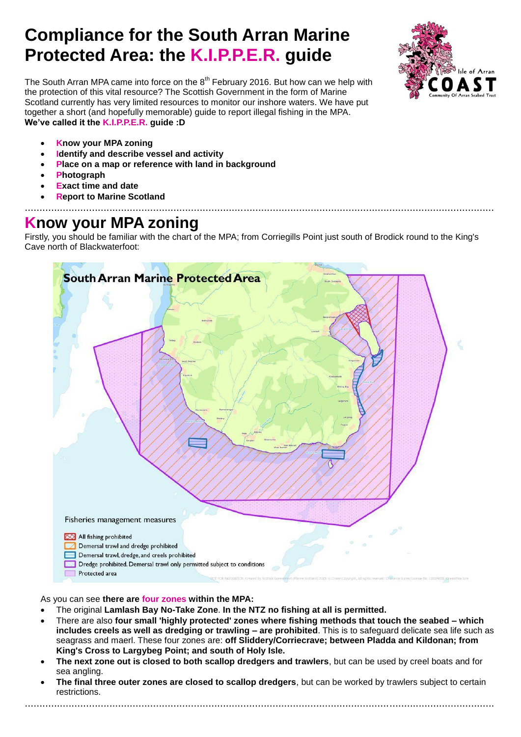# **Compliance for the South Arran Marine Protected Area: the K.I.P.P.E.R. guide**

Isle of Arran

The South Arran MPA came into force on the  $8<sup>th</sup>$  February 2016. But how can we help with the protection of this vital resource? The Scottish Government in the form of Marine Scotland currently has very limited resources to monitor our inshore waters. We have put together a short (and hopefully memorable) guide to report illegal fishing in the MPA. **We've called it the K.I.P.P.E.R. guide :D**

- **Know your MPA zoning**
- **Identify and describe vessel and activity**
- **Place on a map or reference with land in background**
- **Photograph**
- **Exact time and date**
- **Report to Marine Scotland** .................................................................................................................................................................

## **Know your MPA zoning**

Firstly, you should be familiar with the chart of the MPA; from Corriegills Point just south of Brodick round to the King's Cave north of Blackwaterfoot:



As you can see **there are four zones within the MPA:**

- The original **Lamlash Bay No-Take Zone**. **In the NTZ no fishing at all is permitted.**
- There are also **four small 'highly protected' zones where fishing methods that touch the seabed – which includes creels as well as dredging or trawling – are prohibited**. This is to safeguard delicate sea life such as seagrass and maerl. These four zones are: **off Sliddery/Corriecrave; between Pladda and Kildonan; from King's Cross to Largybeg Point; and south of Holy Isle.**
- **The next zone out is closed to both scallop dredgers and trawlers**, but can be used by creel boats and for sea angling.
- **The final three outer zones are closed to scallop dredgers**, but can be worked by trawlers subject to certain restrictions.

.................................................................................................................................................................